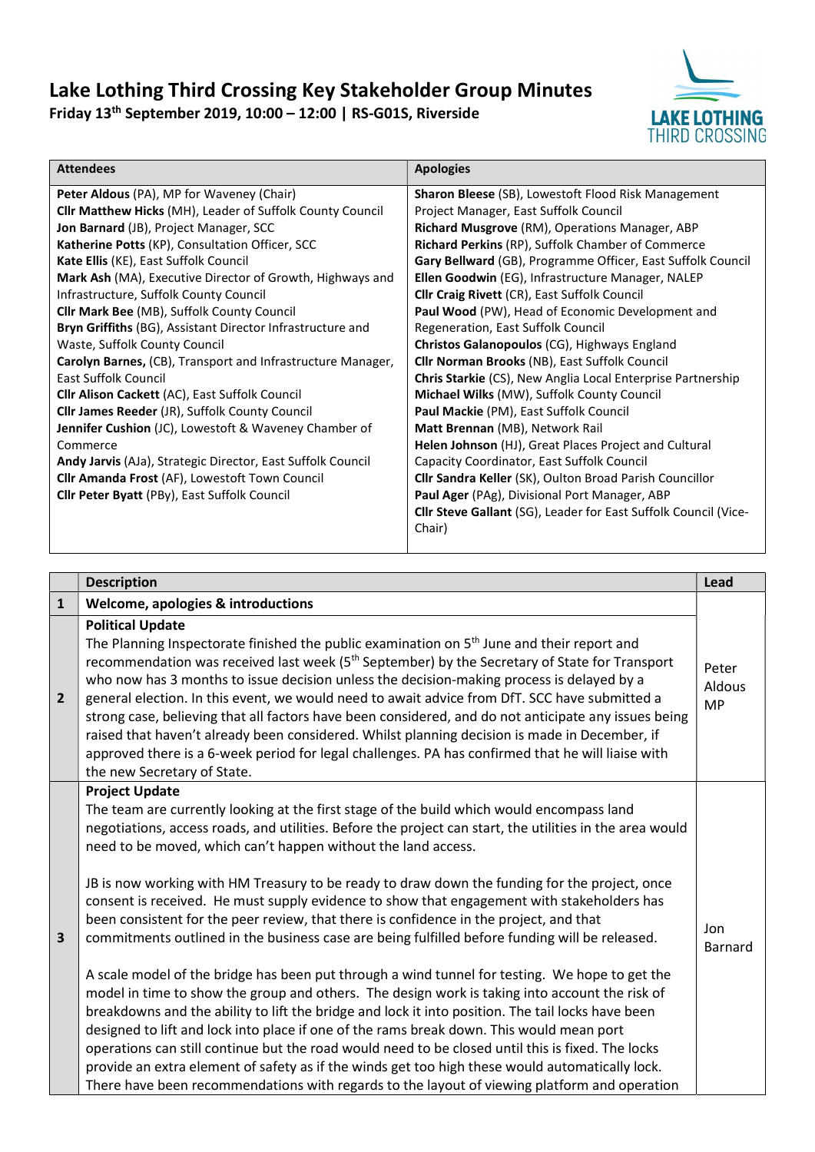## Lake Lothing Third Crossing Key Stakeholder Group Minutes Friday 13th September 2019, 10:00 – 12:00 | RS-G01S, Riverside



| <b>Attendees</b>                                             | <b>Apologies</b>                                                |  |  |
|--------------------------------------------------------------|-----------------------------------------------------------------|--|--|
| Peter Aldous (PA), MP for Waveney (Chair)                    | Sharon Bleese (SB), Lowestoft Flood Risk Management             |  |  |
| Cllr Matthew Hicks (MH), Leader of Suffolk County Council    | Project Manager, East Suffolk Council                           |  |  |
| Jon Barnard (JB), Project Manager, SCC                       | Richard Musgrove (RM), Operations Manager, ABP                  |  |  |
| Katherine Potts (KP), Consultation Officer, SCC              | Richard Perkins (RP), Suffolk Chamber of Commerce               |  |  |
| Kate Ellis (KE), East Suffolk Council                        | Gary Bellward (GB), Programme Officer, East Suffolk Council     |  |  |
| Mark Ash (MA), Executive Director of Growth, Highways and    | Ellen Goodwin (EG), Infrastructure Manager, NALEP               |  |  |
| Infrastructure, Suffolk County Council                       | <b>Cllr Craig Rivett (CR), East Suffolk Council</b>             |  |  |
| Cllr Mark Bee (MB), Suffolk County Council                   | Paul Wood (PW), Head of Economic Development and                |  |  |
| Bryn Griffiths (BG), Assistant Director Infrastructure and   | Regeneration, East Suffolk Council                              |  |  |
| Waste, Suffolk County Council                                | Christos Galanopoulos (CG), Highways England                    |  |  |
| Carolyn Barnes, (CB), Transport and Infrastructure Manager,  | <b>Cllr Norman Brooks (NB), East Suffolk Council</b>            |  |  |
| <b>Fast Suffolk Council</b>                                  | Chris Starkie (CS), New Anglia Local Enterprise Partnership     |  |  |
| <b>Clir Alison Cackett (AC), East Suffolk Council</b>        | Michael Wilks (MW), Suffolk County Council                      |  |  |
| <b>Clir James Reeder (JR), Suffolk County Council</b>        | Paul Mackie (PM), East Suffolk Council                          |  |  |
| <b>Jennifer Cushion</b> (JC), Lowestoft & Waveney Chamber of | Matt Brennan (MB), Network Rail                                 |  |  |
| Commerce                                                     | Helen Johnson (HJ), Great Places Project and Cultural           |  |  |
| Andy Jarvis (AJa), Strategic Director, East Suffolk Council  | Capacity Coordinator, East Suffolk Council                      |  |  |
| Cllr Amanda Frost (AF), Lowestoft Town Council               | Cllr Sandra Keller (SK), Oulton Broad Parish Councillor         |  |  |
| Cllr Peter Byatt (PBy), East Suffolk Council                 | Paul Ager (PAg), Divisional Port Manager, ABP                   |  |  |
|                                                              | Cllr Steve Gallant (SG), Leader for East Suffolk Council (Vice- |  |  |
|                                                              | Chair)                                                          |  |  |

|                         | <b>Description</b>                                                                                                                                                                                                                                                                                                                                                                                                                                                                                                                                                                                                                                                                                                                                                                                                                                                                                                                                                                                                                                                                                                                                                                                                                                                                                                                                                                                      | Lead                         |
|-------------------------|---------------------------------------------------------------------------------------------------------------------------------------------------------------------------------------------------------------------------------------------------------------------------------------------------------------------------------------------------------------------------------------------------------------------------------------------------------------------------------------------------------------------------------------------------------------------------------------------------------------------------------------------------------------------------------------------------------------------------------------------------------------------------------------------------------------------------------------------------------------------------------------------------------------------------------------------------------------------------------------------------------------------------------------------------------------------------------------------------------------------------------------------------------------------------------------------------------------------------------------------------------------------------------------------------------------------------------------------------------------------------------------------------------|------------------------------|
| $\mathbf{1}$            | Welcome, apologies & introductions                                                                                                                                                                                                                                                                                                                                                                                                                                                                                                                                                                                                                                                                                                                                                                                                                                                                                                                                                                                                                                                                                                                                                                                                                                                                                                                                                                      |                              |
| $\overline{2}$          | <b>Political Update</b><br>The Planning Inspectorate finished the public examination on 5 <sup>th</sup> June and their report and<br>recommendation was received last week (5 <sup>th</sup> September) by the Secretary of State for Transport<br>who now has 3 months to issue decision unless the decision-making process is delayed by a<br>general election. In this event, we would need to await advice from DfT. SCC have submitted a<br>strong case, believing that all factors have been considered, and do not anticipate any issues being<br>raised that haven't already been considered. Whilst planning decision is made in December, if<br>approved there is a 6-week period for legal challenges. PA has confirmed that he will liaise with<br>the new Secretary of State.                                                                                                                                                                                                                                                                                                                                                                                                                                                                                                                                                                                                               | Peter<br>Aldous<br><b>MP</b> |
| $\overline{\mathbf{3}}$ | <b>Project Update</b><br>The team are currently looking at the first stage of the build which would encompass land<br>negotiations, access roads, and utilities. Before the project can start, the utilities in the area would<br>need to be moved, which can't happen without the land access.<br>JB is now working with HM Treasury to be ready to draw down the funding for the project, once<br>consent is received. He must supply evidence to show that engagement with stakeholders has<br>been consistent for the peer review, that there is confidence in the project, and that<br>commitments outlined in the business case are being fulfilled before funding will be released.<br>A scale model of the bridge has been put through a wind tunnel for testing. We hope to get the<br>model in time to show the group and others. The design work is taking into account the risk of<br>breakdowns and the ability to lift the bridge and lock it into position. The tail locks have been<br>designed to lift and lock into place if one of the rams break down. This would mean port<br>operations can still continue but the road would need to be closed until this is fixed. The locks<br>provide an extra element of safety as if the winds get too high these would automatically lock.<br>There have been recommendations with regards to the layout of viewing platform and operation | Jon<br><b>Barnard</b>        |